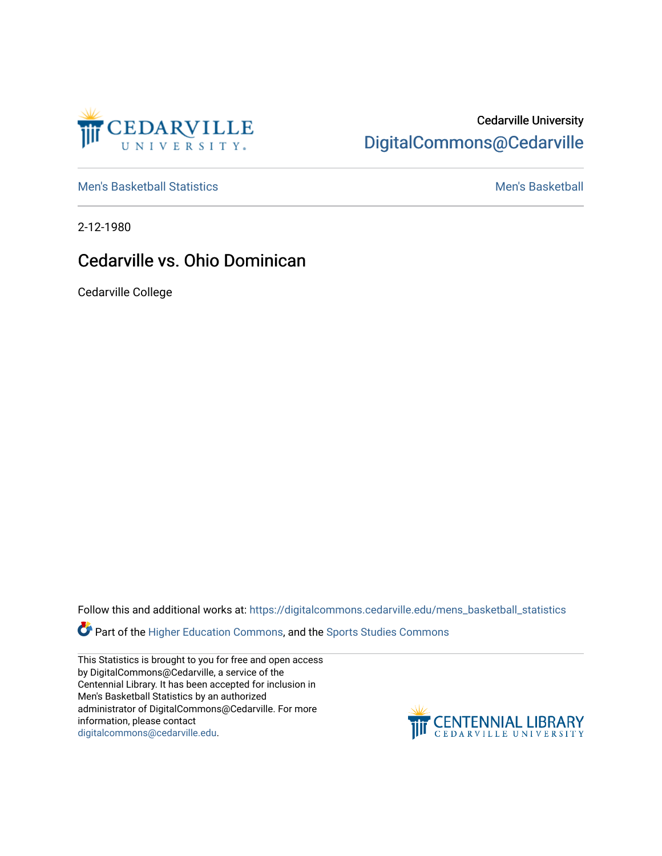

## Cedarville University [DigitalCommons@Cedarville](https://digitalcommons.cedarville.edu/)

[Men's Basketball Statistics](https://digitalcommons.cedarville.edu/mens_basketball_statistics) [Men's Basketball](https://digitalcommons.cedarville.edu/mens_basketball) 

2-12-1980

## Cedarville vs. Ohio Dominican

Cedarville College

Follow this and additional works at: [https://digitalcommons.cedarville.edu/mens\\_basketball\\_statistics](https://digitalcommons.cedarville.edu/mens_basketball_statistics?utm_source=digitalcommons.cedarville.edu%2Fmens_basketball_statistics%2F263&utm_medium=PDF&utm_campaign=PDFCoverPages) 

Part of the [Higher Education Commons,](http://network.bepress.com/hgg/discipline/1245?utm_source=digitalcommons.cedarville.edu%2Fmens_basketball_statistics%2F263&utm_medium=PDF&utm_campaign=PDFCoverPages) and the Sports Studies Commons

This Statistics is brought to you for free and open access by DigitalCommons@Cedarville, a service of the Centennial Library. It has been accepted for inclusion in Men's Basketball Statistics by an authorized administrator of DigitalCommons@Cedarville. For more information, please contact [digitalcommons@cedarville.edu](mailto:digitalcommons@cedarville.edu).